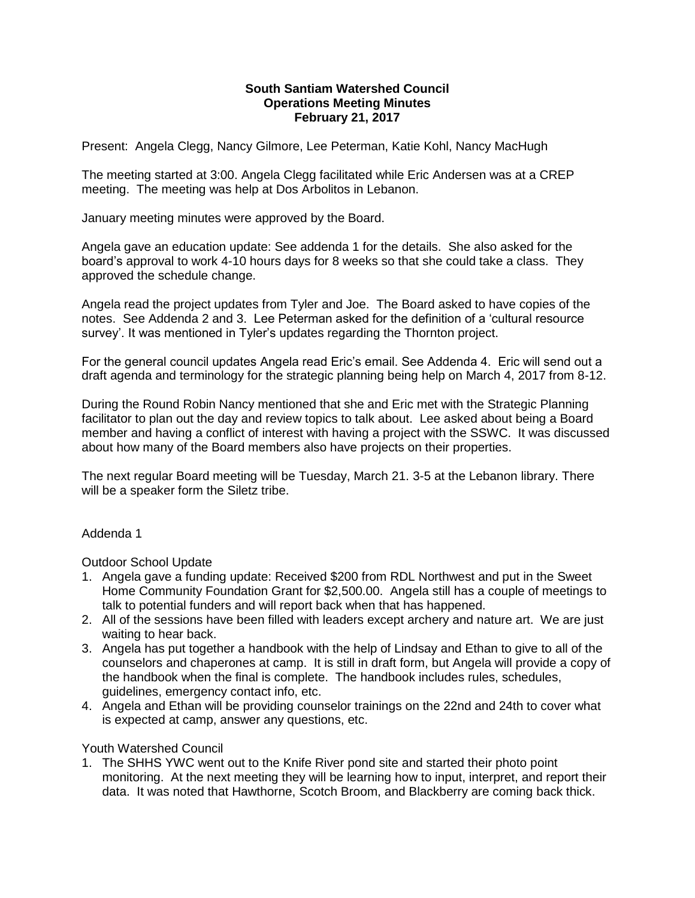#### **South Santiam Watershed Council Operations Meeting Minutes February 21, 2017**

Present: Angela Clegg, Nancy Gilmore, Lee Peterman, Katie Kohl, Nancy MacHugh

The meeting started at 3:00. Angela Clegg facilitated while Eric Andersen was at a CREP meeting. The meeting was help at Dos Arbolitos in Lebanon.

January meeting minutes were approved by the Board.

Angela gave an education update: See addenda 1 for the details. She also asked for the board's approval to work 4-10 hours days for 8 weeks so that she could take a class. They approved the schedule change.

Angela read the project updates from Tyler and Joe. The Board asked to have copies of the notes. See Addenda 2 and 3. Lee Peterman asked for the definition of a 'cultural resource survey'. It was mentioned in Tyler's updates regarding the Thornton project.

For the general council updates Angela read Eric's email. See Addenda 4. Eric will send out a draft agenda and terminology for the strategic planning being help on March 4, 2017 from 8-12.

During the Round Robin Nancy mentioned that she and Eric met with the Strategic Planning facilitator to plan out the day and review topics to talk about. Lee asked about being a Board member and having a conflict of interest with having a project with the SSWC. It was discussed about how many of the Board members also have projects on their properties.

The next regular Board meeting will be Tuesday, March 21. 3-5 at the Lebanon library. There will be a speaker form the Siletz tribe.

## Addenda 1

Outdoor School Update

- 1. Angela gave a funding update: Received \$200 from RDL Northwest and put in the Sweet Home Community Foundation Grant for \$2,500.00. Angela still has a couple of meetings to talk to potential funders and will report back when that has happened.
- 2. All of the sessions have been filled with leaders except archery and nature art. We are just waiting to hear back.
- 3. Angela has put together a handbook with the help of Lindsay and Ethan to give to all of the counselors and chaperones at camp. It is still in draft form, but Angela will provide a copy of the handbook when the final is complete. The handbook includes rules, schedules, guidelines, emergency contact info, etc.
- 4. Angela and Ethan will be providing counselor trainings on the 22nd and 24th to cover what is expected at camp, answer any questions, etc.

Youth Watershed Council

1. The SHHS YWC went out to the Knife River pond site and started their photo point monitoring. At the next meeting they will be learning how to input, interpret, and report their data. It was noted that Hawthorne, Scotch Broom, and Blackberry are coming back thick.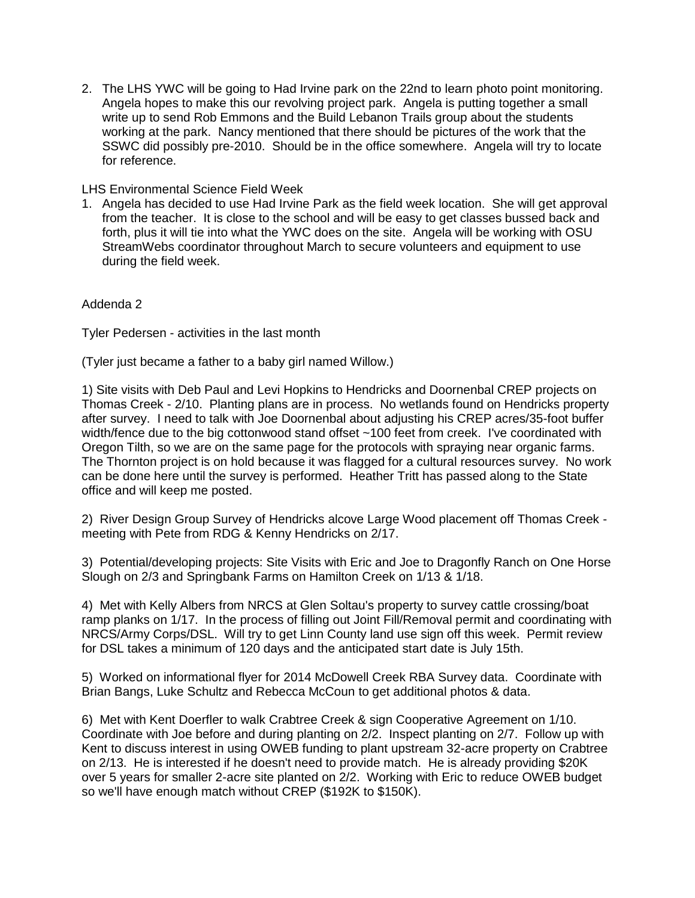2. The LHS YWC will be going to Had Irvine park on the 22nd to learn photo point monitoring. Angela hopes to make this our revolving project park. Angela is putting together a small write up to send Rob Emmons and the Build Lebanon Trails group about the students working at the park. Nancy mentioned that there should be pictures of the work that the SSWC did possibly pre-2010. Should be in the office somewhere. Angela will try to locate for reference.

#### LHS Environmental Science Field Week

1. Angela has decided to use Had Irvine Park as the field week location. She will get approval from the teacher. It is close to the school and will be easy to get classes bussed back and forth, plus it will tie into what the YWC does on the site. Angela will be working with OSU StreamWebs coordinator throughout March to secure volunteers and equipment to use during the field week.

## Addenda 2

Tyler Pedersen - activities in the last month

(Tyler just became a father to a baby girl named Willow.)

1) Site visits with Deb Paul and Levi Hopkins to Hendricks and Doornenbal CREP projects on Thomas Creek - 2/10. Planting plans are in process. No wetlands found on Hendricks property after survey. I need to talk with Joe Doornenbal about adjusting his CREP acres/35-foot buffer width/fence due to the big cottonwood stand offset ~100 feet from creek. I've coordinated with Oregon Tilth, so we are on the same page for the protocols with spraying near organic farms. The Thornton project is on hold because it was flagged for a cultural resources survey. No work can be done here until the survey is performed. Heather Tritt has passed along to the State office and will keep me posted.

2) River Design Group Survey of Hendricks alcove Large Wood placement off Thomas Creek meeting with Pete from RDG & Kenny Hendricks on 2/17.

3) Potential/developing projects: Site Visits with Eric and Joe to Dragonfly Ranch on One Horse Slough on 2/3 and Springbank Farms on Hamilton Creek on 1/13 & 1/18.

4) Met with Kelly Albers from NRCS at Glen Soltau's property to survey cattle crossing/boat ramp planks on 1/17. In the process of filling out Joint Fill/Removal permit and coordinating with NRCS/Army Corps/DSL. Will try to get Linn County land use sign off this week. Permit review for DSL takes a minimum of 120 days and the anticipated start date is July 15th.

5) Worked on informational flyer for 2014 McDowell Creek RBA Survey data. Coordinate with Brian Bangs, Luke Schultz and Rebecca McCoun to get additional photos & data.

6) Met with Kent Doerfler to walk Crabtree Creek & sign Cooperative Agreement on 1/10. Coordinate with Joe before and during planting on 2/2. Inspect planting on 2/7. Follow up with Kent to discuss interest in using OWEB funding to plant upstream 32-acre property on Crabtree on 2/13. He is interested if he doesn't need to provide match. He is already providing \$20K over 5 years for smaller 2-acre site planted on 2/2. Working with Eric to reduce OWEB budget so we'll have enough match without CREP (\$192K to \$150K).